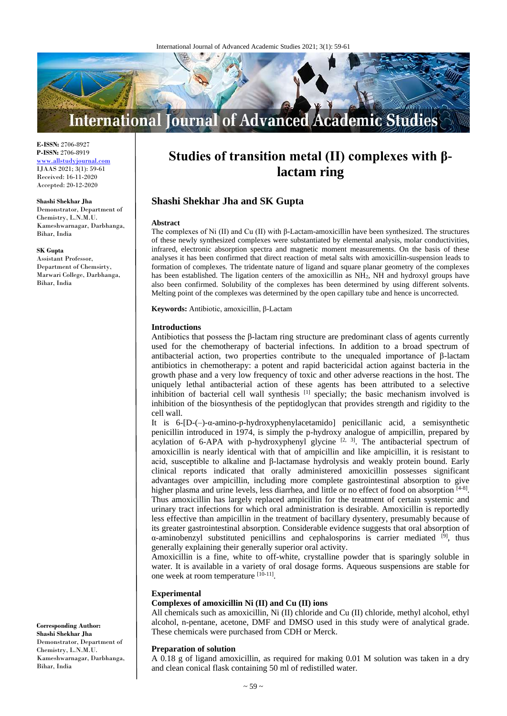

**E-ISSN:** 2706-8927 **P-ISSN:** 2706-8919 <www.allstudyjournal.com> IJAAS 2021; 3(1): 59-61 Received: 16-11-2020 Accepted: 20-12-2020

#### **Shashi Shekhar Jha**

Demonstrator, Department of Chemistry, L.N.M.U. Kameshwarnagar, Darbhanga, Bihar, India

#### **SK Gupta**

Assistant Professor, Department of Chemsirty, Marwari College, Darbhanga, Bihar, India

# **Studies of transition metal (II) complexes with βlactam ring**

# **Shashi Shekhar Jha and SK Gupta**

#### **Abstract**

The complexes of Ni (II) and Cu (II) with β-Lactam-amoxicillin have been synthesized. The structures of these newly synthesized complexes were substantiated by elemental analysis, molar conductivities, infrared, electronic absorption spectra and magnetic moment measurements. On the basis of these analyses it has been confirmed that direct reaction of metal salts with amoxicillin-suspension leads to formation of complexes. The tridentate nature of ligand and square planar geometry of the complexes has been established. The ligation centers of the amoxicillin as NH2, NH and hydroxyl groups have also been confirmed. Solubility of the complexes has been determined by using different solvents. Melting point of the complexes was determined by the open capillary tube and hence is uncorrected.

**Keywords:** Antibiotic, amoxicillin, β-Lactam

#### **Introductions**

Antibiotics that possess the  $\beta$ -lactam ring structure are predominant class of agents currently used for the chemotherapy of bacterial infections. In addition to a broad spectrum of antibacterial action, two properties contribute to the unequaled importance of β-lactam antibiotics in chemotherapy: a potent and rapid bactericidal action against bacteria in the growth phase and a very low frequency of toxic and other adverse reactions in the host. The uniquely lethal antibacterial action of these agents has been attributed to a selective inhibition of bacterial cell wall synthesis<sup>[1]</sup> specially; the basic mechanism involved is inhibition of the biosynthesis of the peptidoglycan that provides strength and rigidity to the cell wall.

It is 6-[D-(–)-α-amino-p-hydroxyphenylacetamido] penicillanic acid, a semisynthetic penicillin introduced in 1974, is simply the p-hydroxy analogue of ampicillin, prepared by acylation of 6-APA with p-hydroxyphenyl glycine  $[2, 3]$ . The antibacterial spectrum of amoxicillin is nearly identical with that of ampicillin and like ampicillin, it is resistant to acid, susceptible to alkaline and β-lactamase hydrolysis and weakly protein bound. Early clinical reports indicated that orally administered amoxicillin possesses significant advantages over ampicillin, including more complete gastrointestinal absorption to give higher plasma and urine levels, less diarrhea, and little or no effect of food on absorption [4-8]. Thus amoxicillin has largely replaced ampicillin for the treatment of certain systemic and urinary tract infections for which oral administration is desirable. Amoxicillin is reportedly less effective than ampicillin in the treatment of bacillary dysentery, presumably because of its greater gastrointestinal absorption. Considerable evidence suggests that oral absorption of  $\alpha$ -aminobenzyl substituted penicillins and cephalosporins is carrier mediated  $[9]$ , thus generally explaining their generally superior oral activity.

Amoxicillin is a fine, white to off-white, crystalline powder that is sparingly soluble in water. It is available in a variety of oral dosage forms. Aqueous suspensions are stable for one week at room temperature [10-11].

#### **Experimental**

#### **Complexes of amoxicillin Ni (II) and Cu (II) ions**

All chemicals such as amoxicillin, Ni (II) chloride and Cu (II) chloride, methyl alcohol, ethyl alcohol, n-pentane, acetone, DMF and DMSO used in this study were of analytical grade. These chemicals were purchased from CDH or Merck.

#### **Preparation of solution**

A 0.18 g of ligand amoxicillin, as required for making 0.01 M solution was taken in a dry and clean conical flask containing 50 ml of redistilled water.

**Corresponding Author: Shashi Shekhar Jha** Demonstrator, Department of Chemistry, L.N.M.U. Kameshwarnagar, Darbhanga, Bihar, India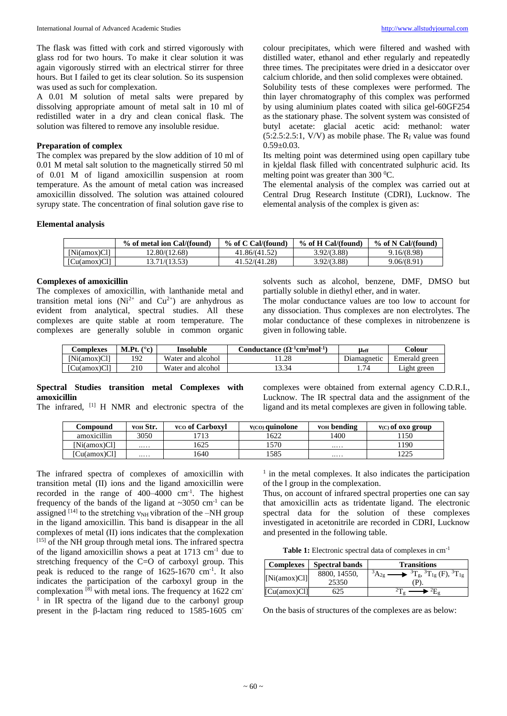The flask was fitted with cork and stirred vigorously with glass rod for two hours. To make it clear solution it was again vigorously stirred with an electrical stirrer for three hours. But I failed to get its clear solution. So its suspension was used as such for complexation.

A 0.01 M solution of metal salts were prepared by dissolving appropriate amount of metal salt in 10 ml of redistilled water in a dry and clean conical flask. The solution was filtered to remove any insoluble residue.

## **Preparation of complex**

The complex was prepared by the slow addition of 10 ml of 0.01 M metal salt solution to the magnetically stirred 50 ml of 0.01 M of ligand amoxicillin suspension at room temperature. As the amount of metal cation was increased amoxicillin dissolved. The solution was attained coloured syrupy state. The concentration of final solution gave rise to colour precipitates, which were filtered and washed with distilled water, ethanol and ether regularly and repeatedly three times. The precipitates were dried in a desiccator over calcium chloride, and then solid complexes were obtained.

Solubility tests of these complexes were performed. The thin layer chromatography of this complex was performed by using aluminium plates coated with silica gel-60GF254 as the stationary phase. The solvent system was consisted of butyl acetate: glacial acetic acid: methanol: water  $(5:2.5:2.5:1, V/V)$  as mobile phase. The R<sub>f</sub> value was found  $0.59 \pm 0.03$ .

Its melting point was determined using open capillary tube in kjeldal flask filled with concentrated sulphuric acid. Its melting point was greater than  $300 \degree C$ .

The elemental analysis of the complex was carried out at Central Drug Research Institute (CDRI), Lucknow. The elemental analysis of the complex is given as:

## **Elemental analysis**

|              | % of metal ion Cal/(found) | % of C Cal/(found) | % of H Cal/(found) | % of N Cal/(found) |
|--------------|----------------------------|--------------------|--------------------|--------------------|
| Ni(amox)Cl1  | 12.80/(12.68)              | 41.86/(41.52)      | 3.92/(3.88)        | 9.16/(8.98)        |
| [Cu(amox)Cl] | 13.71/(13.53)              | 41.52/(41.28)      | 3.92/(3.88)        | 9.06/(8.91)        |

#### **Complexes of amoxicillin**

The complexes of amoxicillin, with lanthanide metal and transition metal ions ( $Ni^{2+}$  and  $Cu^{2+}$ ) are anhydrous as evident from analytical, spectral studies. All these complexes are quite stable at room temperature. The complexes are generally soluble in common organic

solvents such as alcohol, benzene, DMF, DMSO but partially soluble in diethyl ether, and in water.

The molar conductance values are too low to account for any dissociation. Thus complexes are non electrolytes. The molar conductance of these complexes in nitrobenzene is given in following table.

| <b>Complexes</b> | (° <sub>o</sub> )<br>M.Pt. | Insoluble         | $\mathrm{Conductance}\,(\Omega^{\text{-1}}\mathrm{cm}^2\mathrm{mol}^{\text{-1}}$ | <b>Heff</b> | Colour        |
|------------------|----------------------------|-------------------|----------------------------------------------------------------------------------|-------------|---------------|
| [Ni(amox)Cl]     | 192                        | Water and alcohol | 11.28                                                                            | Diamagnetic | Emerald green |
| [Cu(amox)Cl]     | 210                        | Water and alcohol | 13.34                                                                            |             | Light green   |

## **Spectral Studies transition metal Complexes with amoxicillin**

The infrared, [1] H NMR and electronic spectra of the

complexes were obtained from external agency C.D.R.I., Lucknow. The IR spectral data and the assignment of the ligand and its metal complexes are given in following table.

| Compound     | VOH Str. | vco of Carboxyl | $V(CO)$ quinolone | VOH bending | $V(C)$ of oxo group |
|--------------|----------|-----------------|-------------------|-------------|---------------------|
| amoxicillin  | 3050     |                 | 622               | 1400        | 150                 |
| [Ni(amox)Cl] |          | 625             | 1570              |             | 190                 |
| [Cu(amox)Cl] |          | .640            | 1585              |             | つつら<br>ر ے ک        |

The infrared spectra of complexes of amoxicillin with transition metal (II) ions and the ligand amoxicillin were recorded in the range of  $400-4000$  cm<sup>-1</sup>. The highest frequency of the bands of the ligand at  $\sim$ 3050 cm<sup>-1</sup> can be assigned  $^{[14]}$  to the stretching  $v_{NH}$  vibration of the -NH group in the ligand amoxicillin. This band is disappear in the all complexes of metal (II) ions indicates that the complexation  $[15]$  of the NH group through metal ions. The infrared spectra of the ligand amoxicillin shows a peat at 1713 cm-1 due to stretching frequency of the C=O of carboxyl group. This peak is reduced to the range of 1625-1670 cm<sup>-1</sup>. It also indicates the participation of the carboxyl group in the complexation  $^{[8]}$  with metal ions. The frequency at 1622 cm- $\frac{1}{1}$  in IR spectra of the ligand due to the carbonyl group present in the β-lactam ring reduced to 1585-1605 cm-

<sup>1</sup> in the metal complexes. It also indicates the participation of the l group in the complexation.

Thus, on account of infrared spectral properties one can say that amoxicillin acts as tridentate ligand. The electronic spectral data for the solution of these complexes investigated in acetonitrile are recorded in CDRI, Lucknow and presented in the following table.

**Table 1:** Electronic spectral data of complexes in cm-1

| <b>Complexes</b> | <b>Spectral bands</b> | <b>Transitions</b>                                                            |
|------------------|-----------------------|-------------------------------------------------------------------------------|
| [Ni(amox)Cl]     | 8800, 14550,          | $3A_{2g}$<br>$\rightarrow$ ${}^{3}T_{g}$ , ${}^{3}T_{1g}$ (F), ${}^{3}T_{1g}$ |
|                  | 25350                 |                                                                               |
| [Cu(amox)Cl]     | 625                   |                                                                               |

On the basis of structures of the complexes are as below: